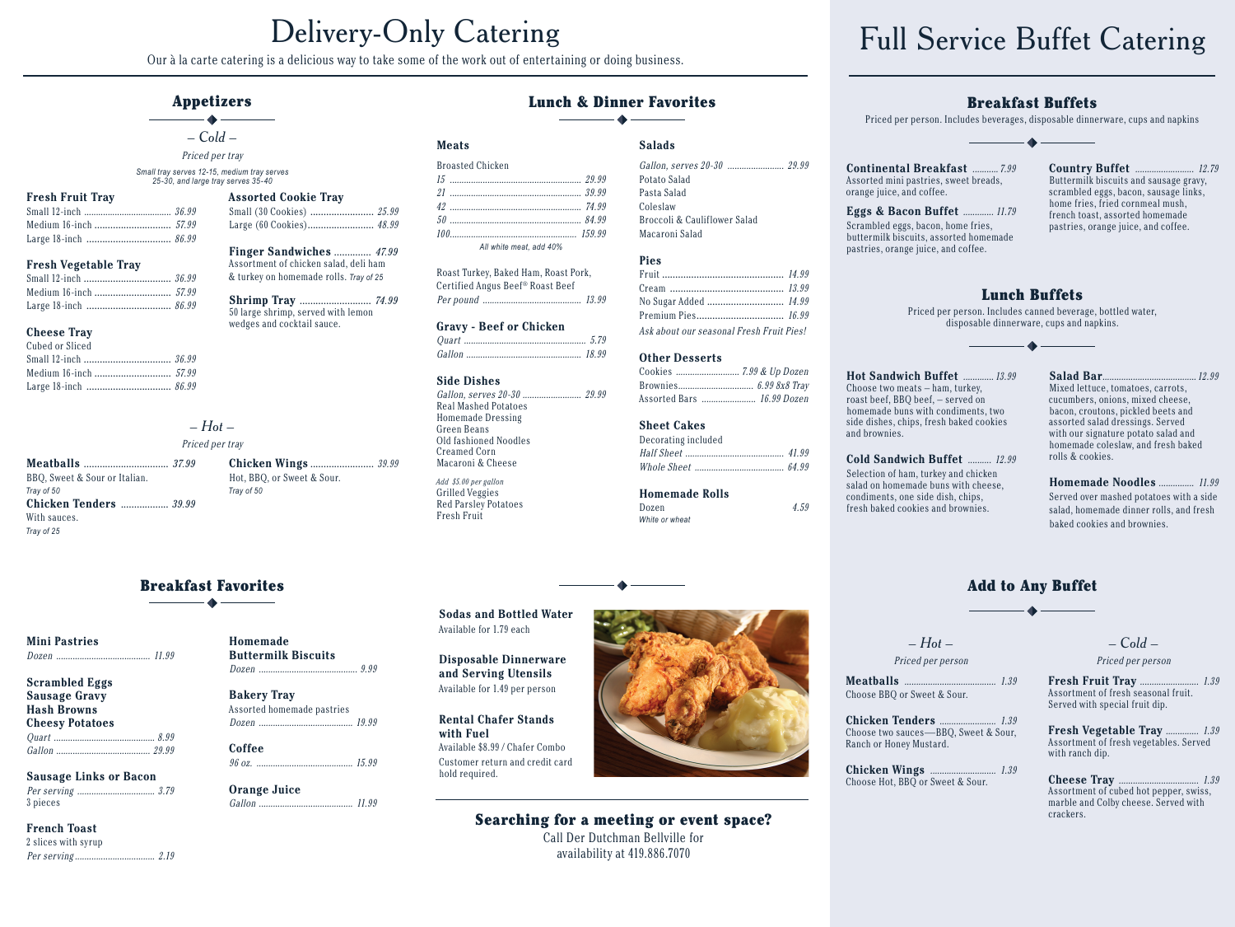Our à la carte catering is a delicious way to take some of the work out of entertaining or doing business.

# **Appetizers**

 $\bullet$   $-$  Cold  $-$ 

Priced per tray

Small tray serves 12-15, medium tray serves 25-30, and large tray serves 35-40

**Assorted Cookie Tray** 

Small (30 Cookies) ........................ 25.99

Finger Sandwiches .............. 47.99

**Shrimp Tray .......................... 74.99** 

Assortment of chicken salad, deli ham

& turkey on homemade rolls. Tray of 25

50 large shrimp, served with lemon

wedges and cocktail sauce.

Hot, BBQ, or Sweet & Sour.

Tray of 50

Homemade

**Bakery Tray** 

Orange Juice

Coffee

**Buttermilk Biscuits** 

Assorted homemade pastries

 $9.99$ 

#### **Fresh Fruit Tray**

#### **Fresh Vegetable Tray**

## **Cheese Tray**

| Cubed or Sliced       |  |
|-----------------------|--|
| Small 12-inch  36.99  |  |
| Medium 16-inch  57.99 |  |
| Large 18-inch  86.99  |  |

 $-Hot-$ 

## Priced per tray

Meatballs ................................. 37.99 BBQ, Sweet & Sour or Italian. Tray of 50 **Chicken Tenders** ................... 39.99 With sauces. Trav of 25

# **Breakfast Favorites**

#### **Mini Pastries**

 $... 11.99$ 

| <b>Scrambled Eggs</b>  |  |
|------------------------|--|
| <b>Sausage Gravy</b>   |  |
| <b>Hash Browns</b>     |  |
| <b>Cheesy Potatoes</b> |  |
|                        |  |
|                        |  |

**Sausage Links or Bacon** 3 pieces

# **French Toast** 2 slices with syrup

### **Lunch & Dinner Favorites**

## **Meats**

| Broasted Chicken       |  |
|------------------------|--|
|                        |  |
|                        |  |
|                        |  |
|                        |  |
|                        |  |
| All white meat add 40% |  |

Roast Turkey, Baked Ham, Roast Pork. Certified Angus Beef® Roast Beef 

#### **Gravy - Beef or Chicken**

Gallon 18.99

#### **Side Dishes**

Gallon, serves 20-30 ......... Real Mashed Potatoes Homemade Dressing Green Beans Old fashioned Noodles Creamed Corn Macaroni & Cheese Add \$5.00 per gallon

Grilled Veggies **Red Parsley Potatoes** Fresh Fruit

Gallon, serves 20-30 ........................ 29.99 Potato Salad Pasta Salad Coleslaw Broccoli & Cauliflower Salad Macaroni Salad

#### **Pies**

**Salads** 

Ask about our seasonal Fresh Fruit Pies!

### **Other Desserts**

 $\cdots$  29.99 **Sheet Cakes** Decorating included

# **Homemade Rolls**

Dozen White or wheat

# **Continental Breakfast ........... 7.99**

Eggs & Bacon Buffet ............. 11.79 Scrambled eggs, bacon, home fries. buttermilk biscuits, assorted homemade

# **Breakfast Buffets**

Priced per person. Includes beverages, disposable dinnerware, cups and napkins  $\bullet$ 

pastries, orange juice, and coffee.

**Country Buffet ....................... 12.79** Buttermilk biscuits and sausage gravy, scrambled eggs, bacon, sausage links. home fries, fried cornmeal mush, french toast, assorted homemade pastries, orange juice, and coffee.

# **Lunch Buffets**

Priced per person. Includes canned beverage, bottled water, disposable dinnerware, cups and napkins.

condiments, one side dish, chips, fresh baked cookies and brownies.

Salad Bar.... 12.99 Mixed lettuce, tomatoes, carrots, cucumbers, onions, mixed cheese, bacon, croutons, pickled beets and assorted salad dressings. Served with our signature potato salad and homemade coleslaw, and fresh baked rolls & cookies.

Homemade Noodles ............... 11.99 Served over mashed potatoes with a side salad, homemade dinner rolls, and fresh baked cookies and brownies.

# **Add to Any Buffet**  $-4$

 $-Hot-$ 

# Priced per person

Choose BBQ or Sweet & Sour.

 $1.39$ Chicken Tenders ......... Choose two sauces—BBO. Sweet & Sour. Ranch or Honey Mustard.

# $-Cold -$

Priced per person

Fresh Fruit Tray ........  $.... 1.39$ Assortment of fresh seasonal fruit. Served with special fruit dip.

Fresh Vegetable Tray ............... 1.39 Assortment of fresh vegetables. Served with ranch dip.

Assortment of cubed hot pepper, swiss, marble and Colby cheese. Served with crackers.



and Serving Utensils Available for 1.49 per person

**Rental Chafer Stands** with Fuel Available \$8.99 / Chafer Combo Customer return and credit card hold required.

# Searching for a meeting or event space?

Call Der Dutchman Bellville for availability at 419.886.7070







# **Full Service Buffet Catering**



 $4.59$